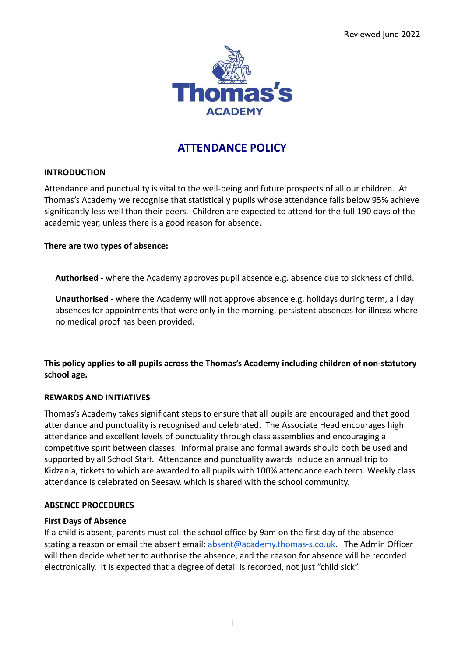

## **ATTENDANCE POLICY**

## **INTRODUCTION**

Attendance and punctuality is vital to the well-being and future prospects of all our children. At Thomas's Academy we recognise that statistically pupils whose attendance falls below 95% achieve significantly less well than their peers. Children are expected to attend for the full 190 days of the academic year, unless there is a good reason for absence.

## **There are two types of absence:**

**Authorised** - where the Academy approves pupil absence e.g. absence due to sickness of child.

**Unauthorised** - where the Academy will not approve absence e.g. holidays during term, all day absences for appointments that were only in the morning, persistent absences for illness where no medical proof has been provided.

**This policy applies to all pupils across the Thomas's Academy including children of non-statutory school age.**

#### **REWARDS AND INITIATIVES**

Thomas's Academy takes significant steps to ensure that all pupils are encouraged and that good attendance and punctuality is recognised and celebrated. The Associate Head encourages high attendance and excellent levels of punctuality through class assemblies and encouraging a competitive spirit between classes. Informal praise and formal awards should both be used and supported by all School Staff. Attendance and punctuality awards include an annual trip to Kidzania, tickets to which are awarded to all pupils with 100% attendance each term. Weekly class attendance is celebrated on Seesaw, which is shared with the school community.

#### **ABSENCE PROCEDURES**

#### **First Days of Absence**

If a child is absent, parents must call the school office by 9am on the first day of the absence stating a reason or email the absent email: [absent@academy.thomas-s.co.uk.](mailto:absent@academy.thomas-s.co.uk) The Admin Officer will then decide whether to authorise the absence, and the reason for absence will be recorded electronically. It is expected that a degree of detail is recorded, not just "child sick".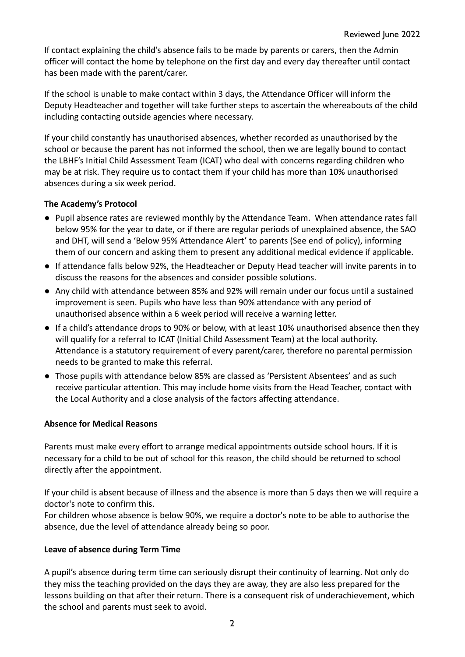If contact explaining the child's absence fails to be made by parents or carers, then the Admin officer will contact the home by telephone on the first day and every day thereafter until contact has been made with the parent/carer.

If the school is unable to make contact within 3 days, the Attendance Officer will inform the Deputy Headteacher and together will take further steps to ascertain the whereabouts of the child including contacting outside agencies where necessary.

If your child constantly has unauthorised absences, whether recorded as unauthorised by the school or because the parent has not informed the school, then we are legally bound to contact the LBHF's Initial Child Assessment Team (ICAT) who deal with concerns regarding children who may be at risk. They require us to contact them if your child has more than 10% unauthorised absences during a six week period.

## **The Academy's Protocol**

- Pupil absence rates are reviewed monthly by the Attendance Team. When attendance rates fall below 95% for the year to date, or if there are regular periods of unexplained absence, the SAO and DHT, will send a 'Below 95% Attendance Alert' to parents (See end of policy), informing them of our concern and asking them to present any additional medical evidence if applicable.
- If attendance falls below 92%, the Headteacher or Deputy Head teacher will invite parents in to discuss the reasons for the absences and consider possible solutions.
- Any child with attendance between 85% and 92% will remain under our focus until a sustained improvement is seen. Pupils who have less than 90% attendance with any period of unauthorised absence within a 6 week period will receive a warning letter.
- If a child's attendance drops to 90% or below, with at least 10% unauthorised absence then they will qualify for a referral to ICAT (Initial Child Assessment Team) at the local authority. Attendance is a statutory requirement of every parent/carer, therefore no parental permission needs to be granted to make this referral.
- Those pupils with attendance below 85% are classed as 'Persistent Absentees' and as such receive particular attention. This may include home visits from the Head Teacher, contact with the Local Authority and a close analysis of the factors affecting attendance.

## **Absence for Medical Reasons**

Parents must make every effort to arrange medical appointments outside school hours. If it is necessary for a child to be out of school for this reason, the child should be returned to school directly after the appointment.

If your child is absent because of illness and the absence is more than 5 days then we will require a doctor's note to confirm this.

For children whose absence is below 90%, we require a doctor's note to be able to authorise the absence, due the level of attendance already being so poor.

## **Leave of absence during Term Time**

A pupil's absence during term time can seriously disrupt their continuity of learning. Not only do they miss the teaching provided on the days they are away, they are also less prepared for the lessons building on that after their return. There is a consequent risk of underachievement, which the school and parents must seek to avoid.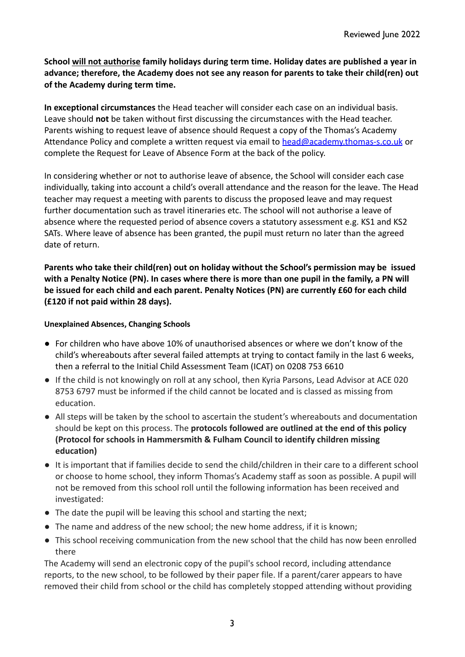**School will not authorise family holidays during term time. Holiday dates are published a year in advance; therefore, the Academy does not see any reason for parents to take their child(ren) out of the Academy during term time.**

**In exceptional circumstances** the Head teacher will consider each case on an individual basis. Leave should **not** be taken without first discussing the circumstances with the Head teacher. Parents wishing to request leave of absence should Request a copy of the Thomas's Academy Attendance Policy and complete a written request via email to [head@academy.thomas-s.co.uk](mailto:head@academy.thomas-s.co.uk) or complete the Request for Leave of Absence Form at the back of the policy.

In considering whether or not to authorise leave of absence, the School will consider each case individually, taking into account a child's overall attendance and the reason for the leave. The Head teacher may request a meeting with parents to discuss the proposed leave and may request further documentation such as travel itineraries etc. The school will not authorise a leave of absence where the requested period of absence covers a statutory assessment e.g. KS1 and KS2 SATs. Where leave of absence has been granted, the pupil must return no later than the agreed date of return.

**Parents who take their child(ren) out on holiday without the School's permission may be issued with a Penalty Notice (PN). In cases where there is more than one pupil in the family, a PN will be issued for each child and each parent. Penalty Notices (PN) are currently £60 for each child (£120 if not paid within 28 days).**

## **Unexplained Absences, Changing Schools**

- For children who have above 10% of unauthorised absences or where we don't know of the child's whereabouts after several failed attempts at trying to contact family in the last 6 weeks, then a referral to the Initial Child Assessment Team (ICAT) on 0208 753 6610
- If the child is not knowingly on roll at any school, then Kyria Parsons, Lead Advisor at ACE 020 8753 6797 must be informed if the child cannot be located and is classed as missing from education.
- All steps will be taken by the school to ascertain the student's whereabouts and documentation should be kept on this process. The **protocols followed are outlined at the end of this policy (Protocol for schools in Hammersmith & Fulham Council to identify children missing education)**
- It is important that if families decide to send the child/children in their care to a different school or choose to home school, they inform Thomas's Academy staff as soon as possible. A pupil will not be removed from this school roll until the following information has been received and investigated:
- The date the pupil will be leaving this school and starting the next;
- The name and address of the new school; the new home address, if it is known;
- This school receiving communication from the new school that the child has now been enrolled there

The Academy will send an electronic copy of the pupil's school record, including attendance reports, to the new school, to be followed by their paper file. If a parent/carer appears to have removed their child from school or the child has completely stopped attending without providing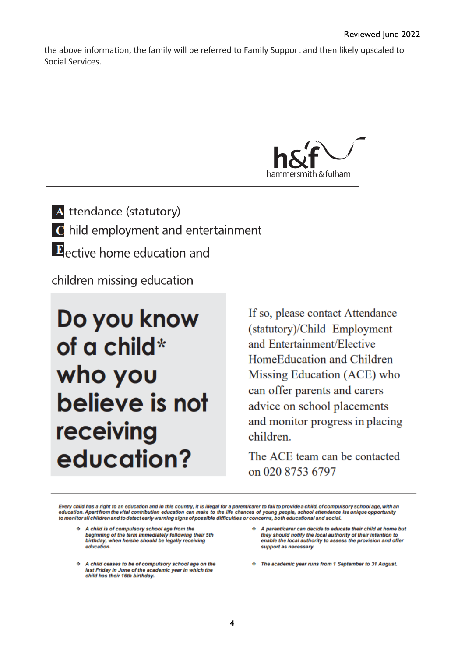the above information, the family will be referred to Family Support and then likely upscaled to Social Services.



A ttendance (statutory) C hild employment and entertainment  $\mathbf{E}_{\text{active home education and}}$ 

children missing education

# Do you know of a child\* who you believe is not receiving education?

If so, please contact Attendance (statutory)/Child Employment and Entertainment/Elective HomeEducation and Children Missing Education (ACE) who can offer parents and carers advice on school placements and monitor progress in placing children.

The ACE team can be contacted on 020 8753 6797

Every child has a right to an education and in this country, it is illegal for a parent/carer to fail to provide a child, of compulsory school age, with an<br>education. Apart from the vital contribution education can make to to monitor all children and to detect early warning signs of possible difficulties or concerns, both educational and social.

- A child is of compulsory school age from the beginning of the term immediately following their 5th<br>birthday, when he/she should be legally receiving education.
- A child ceases to be of compulsory school age on the last Friday in June of the academic year in which the child has their 16th birthday.
- A parent/carer can decide to educate their child at home but they should notify the local authority of their intention to enable the local authority to assess the provision and offer support as necessary.
- The academic year runs from 1 September to 31 August.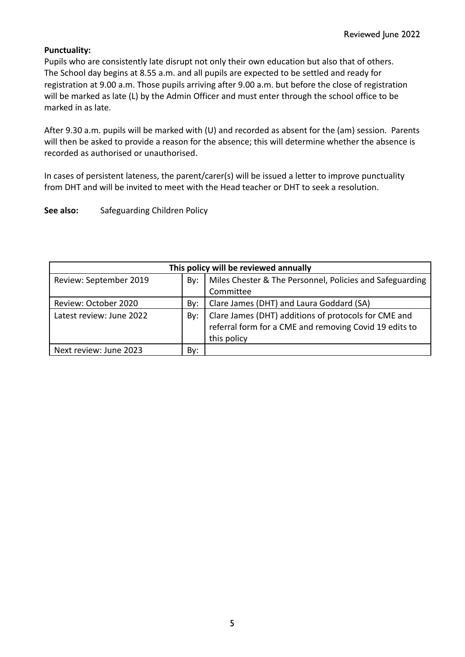## **Punctuality:**

Pupils who are consistently late disrupt not only their own education but also that of others. The School day begins at 8.55 a.m. and all pupils are expected to be settled and ready for registration at 9.00 a.m. Those pupils arriving after 9.00 a.m. but before the close of registration will be marked as late (L) by the Admin Officer and must enter through the school office to be marked in as late.

After 9.30 a.m. pupils will be marked with (U) and recorded as absent for the (am) session. Parents will then be asked to provide a reason for the absence; this will determine whether the absence is recorded as authorised or unauthorised.

In cases of persistent lateness, the parent/carer(s) will be issued a letter to improve punctuality from DHT and will be invited to meet with the Head teacher or DHT to seek a resolution.

See also: Safeguarding Children Policy

| This policy will be reviewed annually |     |                                                                                                                |  |
|---------------------------------------|-----|----------------------------------------------------------------------------------------------------------------|--|
| Review: September 2019                | By: | Miles Chester & The Personnel, Policies and Safeguarding                                                       |  |
|                                       |     | Committee                                                                                                      |  |
| Review: October 2020                  | By: | Clare James (DHT) and Laura Goddard (SA)                                                                       |  |
| Latest review: June 2022              | By: |                                                                                                                |  |
|                                       |     | Clare James (DHT) additions of protocols for CME and<br>referral form for a CME and removing Covid 19 edits to |  |
|                                       |     | this policy                                                                                                    |  |
| Next review: June 2023                | Bv: |                                                                                                                |  |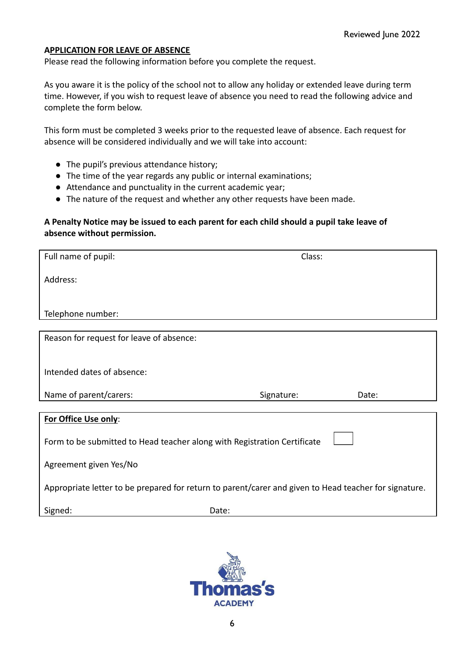## **APPLICATION FOR LEAVE OF ABSENCE**

Please read the following information before you complete the request.

As you aware it is the policy of the school not to allow any holiday or extended leave during term time. However, if you wish to request leave of absence you need to read the following advice and complete the form below.

This form must be completed 3 weeks prior to the requested leave of absence. Each request for absence will be considered individually and we will take into account:

- The pupil's previous attendance history;
- The time of the year regards any public or internal examinations;
- Attendance and punctuality in the current academic year;
- The nature of the request and whether any other requests have been made.

## **A Penalty Notice may be issued to each parent for each child should a pupil take leave of absence without permission.**

| Full name of pupil:                                                                                   | Class:     |       |  |  |
|-------------------------------------------------------------------------------------------------------|------------|-------|--|--|
| Address:                                                                                              |            |       |  |  |
|                                                                                                       |            |       |  |  |
| Telephone number:                                                                                     |            |       |  |  |
|                                                                                                       |            |       |  |  |
| Reason for request for leave of absence:                                                              |            |       |  |  |
|                                                                                                       |            |       |  |  |
|                                                                                                       |            |       |  |  |
| Intended dates of absence:                                                                            |            |       |  |  |
|                                                                                                       |            |       |  |  |
| Name of parent/carers:                                                                                | Signature: | Date: |  |  |
|                                                                                                       |            |       |  |  |
| For Office Use only:                                                                                  |            |       |  |  |
| Form to be submitted to Head teacher along with Registration Certificate                              |            |       |  |  |
|                                                                                                       |            |       |  |  |
| Agreement given Yes/No                                                                                |            |       |  |  |
|                                                                                                       |            |       |  |  |
| Appropriate letter to be prepared for return to parent/carer and given to Head teacher for signature. |            |       |  |  |
| Signed:                                                                                               | Date:      |       |  |  |

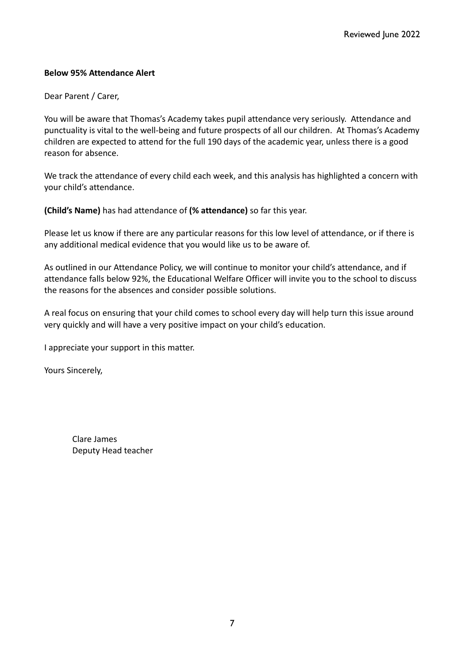## **Below 95% Attendance Alert**

## Dear Parent / Carer,

You will be aware that Thomas's Academy takes pupil attendance very seriously. Attendance and punctuality is vital to the well-being and future prospects of all our children. At Thomas's Academy children are expected to attend for the full 190 days of the academic year, unless there is a good reason for absence.

We track the attendance of every child each week, and this analysis has highlighted a concern with your child's attendance.

**(Child's Name)** has had attendance of **(% attendance)** so far this year.

Please let us know if there are any particular reasons for this low level of attendance, or if there is any additional medical evidence that you would like us to be aware of.

As outlined in our Attendance Policy, we will continue to monitor your child's attendance, and if attendance falls below 92%, the Educational Welfare Officer will invite you to the school to discuss the reasons for the absences and consider possible solutions.

A real focus on ensuring that your child comes to school every day will help turn this issue around very quickly and will have a very positive impact on your child's education.

I appreciate your support in this matter.

Yours Sincerely,

Clare James Deputy Head teacher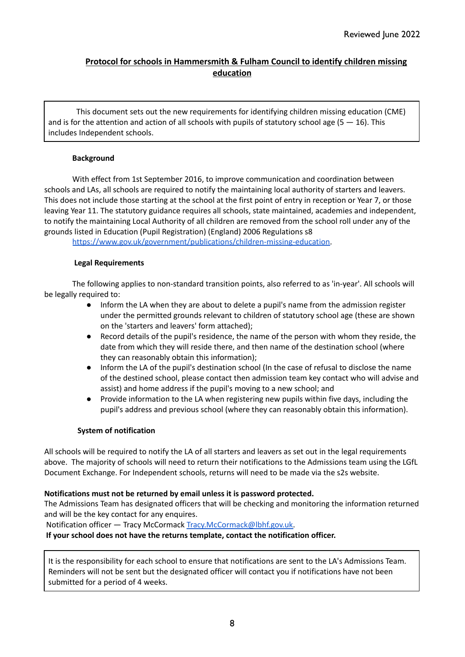## **Protocol for schools in Hammersmith & Fulham Council to identify children missing education**

This document sets out the new requirements for identifying children missing education (CME) and is for the attention and action of all schools with pupils of statutory school age  $(5 - 16)$ . This includes Independent schools.

#### **Background**

With effect from 1st September 2016, to improve communication and coordination between schools and LAs, all schools are required to notify the maintaining local authority of starters and leavers. This does not include those starting at the school at the first point of entry in reception or Year 7, or those leaving Year 11. The statutory guidance requires all schools, state maintained, academies and independent, to notify the maintaining Local Authority of all children are removed from the school roll under any of the grounds listed in Education (Pupil Registration) (England) 2006 Regulations s8

<https://www.gov.uk/government/publications/children-missing-education>.

#### **Legal Requirements**

The following applies to non-standard transition points, also referred to as 'in-year'. All schools will be legally required to:

- Inform the LA when they are about to delete a pupil's name from the admission register under the permitted grounds relevant to children of statutory school age (these are shown on the 'starters and leavers' form attached);
- Record details of the pupil's residence, the name of the person with whom they reside, the date from which they will reside there, and then name of the destination school (where they can reasonably obtain this information);
- Inform the LA of the pupil's destination school (In the case of refusal to disclose the name of the destined school, please contact then admission team key contact who will advise and assist) and home address if the pupil's moving to a new school; and
- Provide information to the LA when registering new pupils within five days, including the pupil's address and previous school (where they can reasonably obtain this information).

#### **System of notification**

All schools will be required to notify the LA of all starters and leavers as set out in the legal requirements above. The majority of schools will need to return their notifications to the Admissions team using the LGfL Document Exchange. For Independent schools, returns will need to be made via the s2s website.

#### **Notifications must not be returned by email unless it is password protected.**

The Admissions Team has designated officers that will be checking and monitoring the information returned and will be the key contact for any enquires.

Notification officer — Tracy McCormack [Tracy.McCormack@lbhf.gov.uk.](mailto:Tracy.McCormack@lbhf.gov.uk)

**If your school does not have the returns template, contact the notification officer.**

It is the responsibility for each school to ensure that notifications are sent to the LA's Admissions Team. Reminders will not be sent but the designated officer will contact you if notifications have not been submitted for a period of 4 weeks.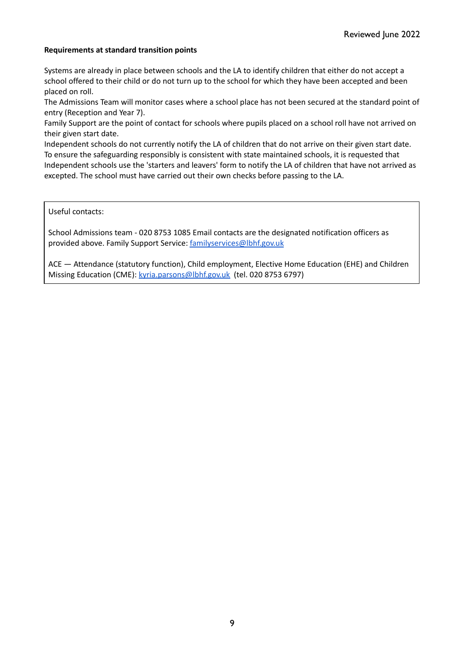#### **Requirements at standard transition points**

Systems are already in place between schools and the LA to identify children that either do not accept a school offered to their child or do not turn up to the school for which they have been accepted and been placed on roll.

The Admissions Team will monitor cases where a school place has not been secured at the standard point of entry (Reception and Year 7).

Family Support are the point of contact for schools where pupils placed on a school roll have not arrived on their given start date.

Independent schools do not currently notify the LA of children that do not arrive on their given start date. To ensure the safeguarding responsibly is consistent with state maintained schools, it is requested that Independent schools use the 'starters and leavers' form to notify the LA of children that have not arrived as excepted. The school must have carried out their own checks before passing to the LA.

Useful contacts:

School Admissions team - 020 8753 1085 Email contacts are the designated notification officers as provided above. Family Support Service: [familyservices@lbhf.gov.uk](mailto:familyservices@lbhf.gov.uk)

ACE — Attendance (statutory function), Child employment, Elective Home Education (EHE) and Children Missing Education (CME): [kyria.parsons@lbhf.gov.uk](mailto:kyria.parsons@lbhf.gov.uk) (tel. 020 8753 6797)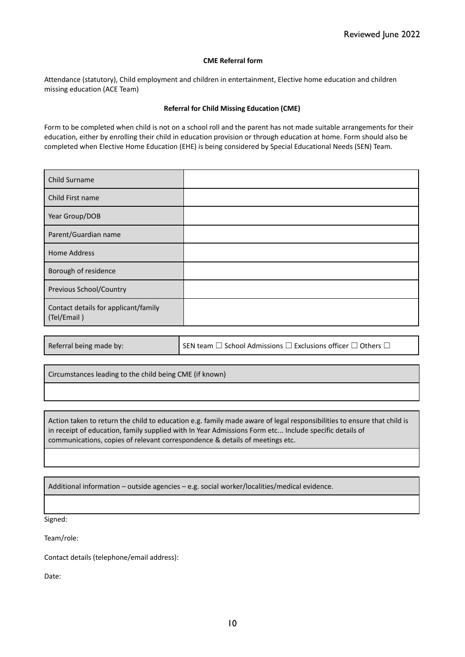#### **CME Referral form**

Attendance (statutory), Child employment and children in entertainment, Elective home education and children missing education (ACE Team)

#### **Referral for Child Missing Education (CME)**

Form to be completed when child is not on a school roll and the parent has not made suitable arrangements for their education, either by enrolling their child in education provision or through education at home. Form should also be completed when Elective Home Education (EHE) is being considered by Special Educational Needs (SEN) Team.

| Child Surname                                       |  |
|-----------------------------------------------------|--|
| Child First name                                    |  |
| Year Group/DOB                                      |  |
| Parent/Guardian name                                |  |
| <b>Home Address</b>                                 |  |
| Borough of residence                                |  |
| Previous School/Country                             |  |
| Contact details for applicant/family<br>(Tel/Email) |  |

Referral being made by: SEN team  $□$  School Admissions  $□$  Exclusions officer  $□$  Others  $□$ 

Circumstances leading to the child being CME (if known)

Action taken to return the child to education e.g. family made aware of legal responsibilities to ensure that child is in receipt of education, family supplied with In Year Admissions Form etc... Include specific details of communications, copies of relevant correspondence & details of meetings etc.

Additional information – outside agencies – e.g. social worker/localities/medical evidence.

Signed:

Team/role:

Contact details (telephone/email address):

Date: